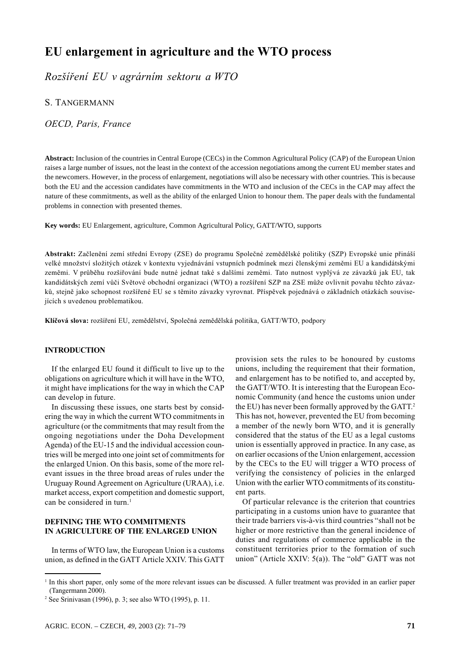# EU enlargement in agriculture and the WTO process

Rozšíření EU v agrárním sektoru a WTO

**S. TANGERMANN** 

OECD. Paris. France

**Abstract:** Inclusion of the countries in Central Europe (CECs) in the Common Agricultural Policy (CAP) of the European Union raises a large number of issues, not the least in the context of the accession negotiations among the current EU member states and the newcomers. However, in the process of enlargement, negotiations will also be necessary with other countries. This is because both the EU and the accession candidates have commitments in the WTO and inclusion of the CECs in the CAP may affect the nature of these commitments, as well as the ability of the enlarged Union to honour them. The paper deals with the fundamental problems in connection with presented themes.

Key words: EU Enlargement, agriculture, Common Agricultural Policy, GATT/WTO, supports

Abstrakt: Začlenění zemí střední Evropy (ZSE) do programu Společné zemědělské politiky (SZP) Evropské unie přináší velké množství složitých otázek v kontextu vyjednávání vstupních podmínek mezi členskými zeměmi EU a kandidátskými zeměmi. V průběhu rozšiřování bude nutné jednat také s dalšími zeměmi. Tato nutnost vyplývá ze závazků jak EU, tak kandidátských zemí vůči Světové obchodní organizaci (WTO) a rozšíření SZP na ZSE může ovlivnit povahu těchto závazků, stejně jako schopnost rozšířené EU se s těmito závazky vyrovnat. Příspěvek pojednává o základních otázkách souviseiících s uvedenou problematikou.

Klíčová slova: rozšíření EU, zemědělství, Společná zemědělská politika, GATT/WTO, podpory

## **INTRODUCTION**

If the enlarged EU found it difficult to live up to the obligations on agriculture which it will have in the WTO, it might have implications for the way in which the CAP can develop in future.

In discussing these issues, one starts best by considering the way in which the current WTO commitments in agriculture (or the commitments that may result from the ongoing negotiations under the Doha Development Agenda) of the EU-15 and the individual accession countries will be merged into one joint set of commitments for the enlarged Union. On this basis, some of the more relevant issues in the three broad areas of rules under the Uruguay Round Agreement on Agriculture (URAA), i.e. market access, export competition and domestic support, can be considered in turn.<sup>1</sup>

## DEFINING THE WTO COMMITMENTS IN AGRICULTURE OF THE ENLARGED UNION

In terms of WTO law, the European Union is a customs union, as defined in the GATT Article XXIV. This GATT provision sets the rules to be honoured by customs unions, including the requirement that their formation, and enlargement has to be notified to, and accepted by, the GATT/WTO. It is interesting that the European Economic Community (and hence the customs union under the EU) has never been formally approved by the GATT.<sup>2</sup> This has not, however, prevented the EU from becoming a member of the newly born WTO, and it is generally considered that the status of the EU as a legal customs union is essentially approved in practice. In any case, as on earlier occasions of the Union enlargement, accession by the CECs to the EU will trigger a WTO process of verifying the consistency of policies in the enlarged Union with the earlier WTO commitments of its constituent parts.

Of particular relevance is the criterion that countries participating in a customs union have to guarantee that their trade barriers vis-à-vis third countries "shall not be higher or more restrictive than the general incidence of duties and regulations of commerce applicable in the constituent territories prior to the formation of such union" (Article XXIV: 5(a)). The "old" GATT was not

<sup>&</sup>lt;sup>1</sup> In this short paper, only some of the more relevant issues can be discussed. A fuller treatment was provided in an earlier paper (Tangermann 2000).

<sup>&</sup>lt;sup>2</sup> See Srinivasan (1996), p. 3; see also WTO (1995), p. 11.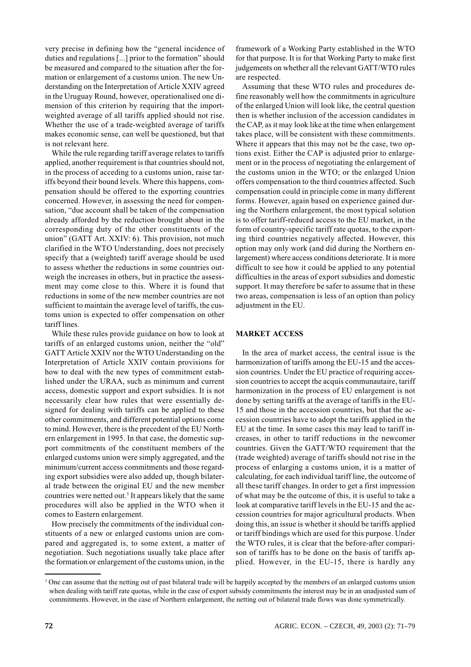very precise in defining how the "general incidence of duties and regulations [...] prior to the formation" should be measured and compared to the situation after the formation or enlargement of a customs union. The new Understanding on the Interpretation of Article XXIV agreed in the Uruguay Round, however, operationalised one dimension of this criterion by requiring that the importweighted average of all tariffs applied should not rise. Whether the use of a trade-weighted average of tariffs makes economic sense, can well be questioned, but that is not relevant here.

While the rule regarding tariff average relates to tariffs applied, another requirement is that countries should not. in the process of acceding to a customs union, raise tariffs beyond their bound levels. Where this happens, compensation should be offered to the exporting countries concerned. However, in assessing the need for compensation, "due account shall be taken of the compensation already afforded by the reduction brought about in the corresponding duty of the other constituents of the union" (GATT Art. XXIV: 6). This provision, not much clarified in the WTO Understanding, does not precisely specify that a (weighted) tariff average should be used to assess whether the reductions in some countries outweigh the increases in others, but in practice the assessment may come close to this. Where it is found that reductions in some of the new member countries are not sufficient to maintain the average level of tariffs, the customs union is expected to offer compensation on other tariff lines.

While these rules provide guidance on how to look at tariffs of an enlarged customs union, neither the "old" GATT Article XXIV nor the WTO Understanding on the Interpretation of Article XXIV contain provisions for how to deal with the new types of commitment established under the URAA, such as minimum and current access, domestic support and export subsidies. It is not necessarily clear how rules that were essentially designed for dealing with tariffs can be applied to these other commitments, and different potential options come to mind. However, there is the precedent of the EU Northern enlargement in 1995. In that case, the domestic support commitments of the constituent members of the enlarged customs union were simply aggregated, and the minimum/current access commitments and those regarding export subsidies were also added up, though bilateral trade between the original EU and the new member countries were netted out.<sup>3</sup> It appears likely that the same procedures will also be applied in the WTO when it comes to Eastern enlargement.

How precisely the commitments of the individual constituents of a new or enlarged customs union are compared and aggregated is, to some extent, a matter of negotiation. Such negotiations usually take place after the formation or enlargement of the customs union, in the

framework of a Working Party established in the WTO for that purpose. It is for that Working Party to make first judgements on whether all the relevant GATT/WTO rules are respected.

Assuming that these WTO rules and procedures define reasonably well how the commitments in agriculture of the enlarged Union will look like, the central question then is whether inclusion of the accession candidates in the CAP, as it may look like at the time when enlargement takes place, will be consistent with these commitments. Where it appears that this may not be the case, two options exist. Either the CAP is adjusted prior to enlargement or in the process of negotiating the enlargement of the customs union in the WTO; or the enlarged Union offers compensation to the third countries affected. Such compensation could in principle come in many different forms. However, again based on experience gained during the Northern enlargement, the most typical solution is to offer tariff-reduced access to the EU market, in the form of country-specific tariff rate quotas, to the exporting third countries negatively affected. However, this option may only work (and did during the Northern enlargement) where access conditions deteriorate. It is more difficult to see how it could be applied to any potential difficulties in the areas of export subsidies and domestic support. It may therefore be safer to assume that in these two areas, compensation is less of an option than policy adjustment in the EU.

## **MARKET ACCESS**

In the area of market access, the central issue is the harmonization of tariffs among the EU-15 and the accession countries. Under the EU practice of requiring accession countries to accept the acquis communautaire, tariff harmonization in the process of EU enlargement is not done by setting tariffs at the average of tariffs in the EU-15 and those in the accession countries, but that the accession countries have to adopt the tariffs applied in the EU at the time. In some cases this may lead to tariff increases, in other to tariff reductions in the newcomer countries. Given the GATT/WTO requirement that the (trade weighted) average of tariffs should not rise in the process of enlarging a customs union, it is a matter of calculating, for each individual tariff line, the outcome of all these tariff changes. In order to get a first impression of what may be the outcome of this, it is useful to take a look at comparative tariff levels in the EU-15 and the accession countries for major agricultural products. When doing this, an issue is whether it should be tariffs applied or tariff bindings which are used for this purpose. Under the WTO rules, it is clear that the before-after comparison of tariffs has to be done on the basis of tariffs applied. However, in the EU-15, there is hardly any

<sup>&</sup>lt;sup>3</sup> One can assume that the netting out of past bilateral trade will be happily accepted by the members of an enlarged customs union when dealing with tariff rate quotas, while in the case of export subsidy commitments the interest may be in an unadjusted sum of commitments. However, in the case of Northern enlargement, the netting out of bilateral trade flows was done symmetrically.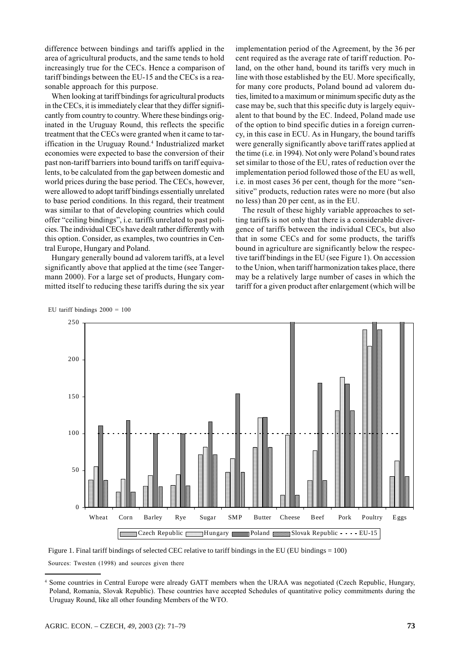difference between bindings and tariffs applied in the area of agricultural products, and the same tends to hold increasingly true for the CECs. Hence a comparison of tariff bindings between the EU-15 and the CECs is a reasonable approach for this purpose.

When looking at tariff bindings for agricultural products in the CECs, it is immediately clear that they differ significantly from country to country. Where these bindings originated in the Uruguay Round, this reflects the specific treatment that the CECs were granted when it came to tariffication in the Uruguay Round.<sup>4</sup> Industrialized market economies were expected to base the conversion of their past non-tariff barriers into bound tariffs on tariff equivalents, to be calculated from the gap between domestic and world prices during the base period. The CECs, however, were allowed to adopt tariff bindings essentially unrelated to base period conditions. In this regard, their treatment was similar to that of developing countries which could offer "ceiling bindings", i.e. tariffs unrelated to past policies. The individual CECs have dealt rather differently with this option. Consider, as examples, two countries in Central Europe, Hungary and Poland.

Hungary generally bound ad valorem tariffs, at a level significantly above that applied at the time (see Tangermann 2000). For a large set of products, Hungary committed itself to reducing these tariffs during the six year



implementation period of the Agreement, by the 36 per cent required as the average rate of tariff reduction. Poland, on the other hand, bound its tariffs very much in line with those established by the EU. More specifically, for many core products, Poland bound ad valorem duties, limited to a maximum or minimum specific duty as the case may be, such that this specific duty is largely equivalent to that bound by the EC. Indeed, Poland made use of the option to bind specific duties in a foreign currency, in this case in ECU. As in Hungary, the bound tariffs were generally significantly above tariff rates applied at the time (i.e. in 1994). Not only were Poland's bound rates set similar to those of the EU, rates of reduction over the implementation period followed those of the EU as well, i.e. in most cases 36 per cent, though for the more "sensitive" products, reduction rates were no more (but also no less) than 20 per cent, as in the EU.

The result of these highly variable approaches to setting tariffs is not only that there is a considerable divergence of tariffs between the individual CECs, but also that in some CECs and for some products, the tariffs bound in agriculture are significantly below the respective tariff bindings in the EU (see Figure 1). On accession to the Union, when tariff harmonization takes place, there may be a relatively large number of cases in which the tariff for a given product after enlargement (which will be



Figure 1. Final tariff bindings of selected CEC relative to tariff bindings in the EU (EU bindings = 100) Sources: Twesten (1998) and sources given there

<sup>&</sup>lt;sup>4</sup> Some countries in Central Europe were already GATT members when the URAA was negotiated (Czech Republic, Hungary, Poland, Romania, Slovak Republic). These countries have accepted Schedules of quantitative policy commitments during the Uruguay Round, like all other founding Members of the WTO.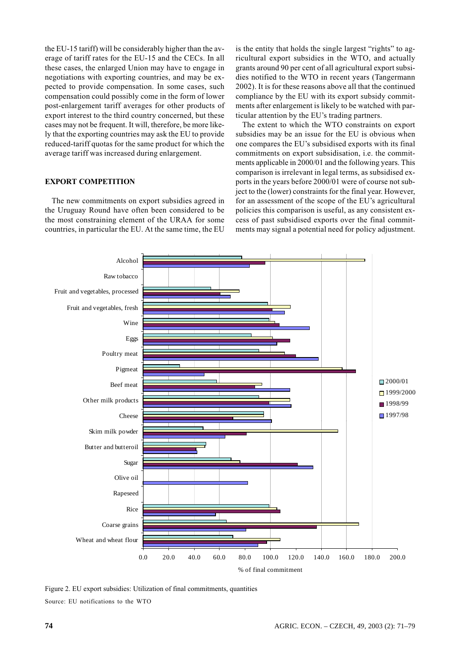the EU-15 tariff) will be considerably higher than the average of tariff rates for the EU-15 and the CECs. In all these cases, the enlarged Union may have to engage in negotiations with exporting countries, and may be expected to provide compensation. In some cases, such compensation could possibly come in the form of lower post-enlargement tariff averages for other products of export interest to the third country concerned, but these cases may not be frequent. It will, therefore, be more likely that the exporting countries may ask the EU to provide reduced-tariff quotas for the same product for which the average tariff was increased during enlargement.

## **EXPORT COMPETITION**

The new commitments on export subsidies agreed in the Uruguay Round have often been considered to be the most constraining element of the URAA for some countries, in particular the EU. At the same time, the EU is the entity that holds the single largest "rights" to agricultural export subsidies in the WTO, and actually erants around 90 per cent of all agricultural export subsidies notified to the WTO in recent years (Tangermann 2002). It is for these reasons above all that the continued compliance by the EU with its export subsidy commitments after enlargement is likely to be watched with particular attention by the EU's trading partners.

The extent to which the WTO constraints on export subsidies may be an issue for the EU is obvious when one compares the EU's subsidised exports with its final commitments on export subsidisation, i.e. the commitments applicable in 2000/01 and the following years. This comparison is irrelevant in legal terms, as subsidised exports in the years before 2000/01 were of course not subject to the (lower) constraints for the final year. However, for an assessment of the scope of the EU's agricultural policies this comparison is useful, as any consistent excess of past subsidised exports over the final commitments may signal a potential need for policy adjustment.



Figure 2. EU export subsidies: Utilization of final commitments, quantities Source: EU notifications to the WTO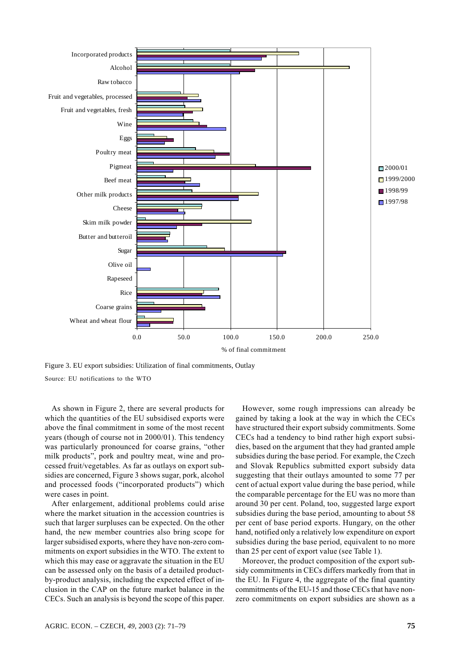

Figure 3. EU export subsidies: Utilization of final commitments, Outlay Source: EU notifications to the WTO

As shown in Figure 2, there are several products for which the quantities of the EU subsidised exports were above the final commitment in some of the most recent years (though of course not in 2000/01). This tendency was particularly pronounced for coarse grains, "other milk products", pork and poultry meat, wine and processed fruit/vegetables. As far as outlays on export subsidies are concerned, Figure 3 shows sugar, pork, alcohol and processed foods ("incorporated products") which were cases in point.

After enlargement, additional problems could arise where the market situation in the accession countries is such that larger surpluses can be expected. On the other hand, the new member countries also bring scope for larger subsidised exports, where they have non-zero commitments on export subsidies in the WTO. The extent to which this may ease or aggravate the situation in the EU can be assessed only on the basis of a detailed productby-product analysis, including the expected effect of inclusion in the CAP on the future market balance in the CECs. Such an analysis is beyond the scope of this paper.

However, some rough impressions can already be gained by taking a look at the way in which the CECs have structured their export subsidy commitments. Some CECs had a tendency to bind rather high export subsidies, based on the argument that they had granted ample subsidies during the base period. For example, the Czech and Slovak Republics submitted export subsidy data suggesting that their outlays amounted to some 77 per cent of actual export value during the base period, while the comparable percentage for the EU was no more than around 30 per cent. Poland, too, suggested large export subsidies during the base period, amounting to about 58 per cent of base period exports. Hungary, on the other hand, notified only a relatively low expenditure on export subsidies during the base period, equivalent to no more than 25 per cent of export value (see Table 1).

Moreover, the product composition of the export subsidy commitments in CECs differs markedly from that in the EU. In Figure 4, the aggregate of the final quantity commitments of the EU-15 and those CECs that have nonzero commitments on export subsidies are shown as a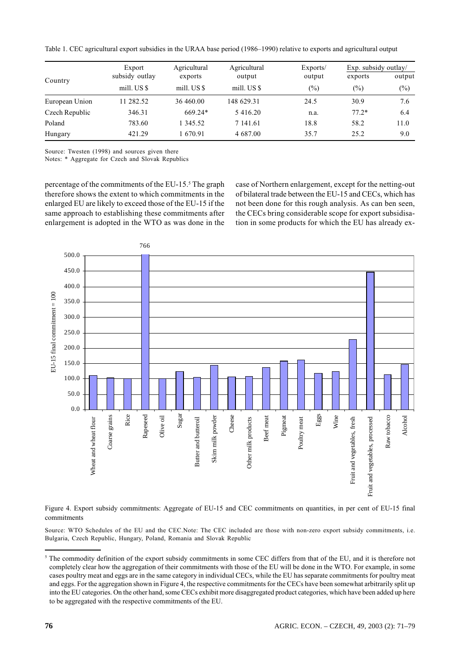Table 1. CEC agricultural export subsidies in the URAA base period (1986–1990) relative to exports and agricultural output

| Country        | Export<br>subsidy outlay<br>mill. $USS$ | Agricultural<br>exports<br>mill. US \$ | Agricultural<br>output<br>mill. $USS$ | Exports/<br>output<br>$\binom{0}{0}$ | Exp. subsidy outlay/<br>output<br>exports |        |
|----------------|-----------------------------------------|----------------------------------------|---------------------------------------|--------------------------------------|-------------------------------------------|--------|
|                |                                         |                                        |                                       |                                      | (%)                                       | $(\%)$ |
| European Union | 11 282.52                               | 36 460.00                              | 148 629.31                            | 24.5                                 | 30.9                                      | 7.6    |
| Czech Republic | 346.31                                  | 669.24*                                | 5416.20                               | n.a.                                 | $77.2*$                                   | 6.4    |
| Poland         | 783.60                                  | 1 345.52                               | 7 141.61                              | 18.8                                 | 58.2                                      | 11.0   |
| Hungary        | 421.29                                  | 1 670.91                               | 4 687.00                              | 35.7                                 | 25.2                                      | 9.0    |

Source: Twesten (1998) and sources given there

Notes: \* Aggregate for Czech and Slovak Republics

percentage of the commitments of the EU-15.<sup>5</sup> The graph therefore shows the extent to which commitments in the enlarged EU are likely to exceed those of the EU-15 if the same approach to establishing these commitments after enlargement is adopted in the WTO as was done in the case of Northern enlargement, except for the netting-out of bilateral trade between the EU-15 and CECs, which has not been done for this rough analysis. As can ben seen, the CECs bring considerable scope for export subsidisation in some products for which the EU has already ex-



Figure 4. Export subsidy commitments: Aggregate of EU-15 and CEC commitments on quantities, in per cent of EU-15 final commitments

Source: WTO Schedules of the EU and the CEC.Note: The CEC included are those with non-zero export subsidy commitments, i.e. Bulgaria, Czech Republic, Hungary, Poland, Romania and Slovak Republic

<sup>&</sup>lt;sup>5</sup> The commodity definition of the export subsidy commitments in some CEC differs from that of the EU, and it is therefore not completely clear how the aggregation of their commitments with those of the EU will be done in the WTO. For example, in some cases poultry meat and eggs are in the same category in individual CECs, while the EU has separate commitments for poultry meat and eggs. For the aggregation shown in Figure 4, the respective commitments for the CECs have been somewhat arbitrarily split up into the EU categories. On the other hand, some CECs exhibit more disaggregated product categories, which have been added up here to be aggregated with the respective commitments of the EU.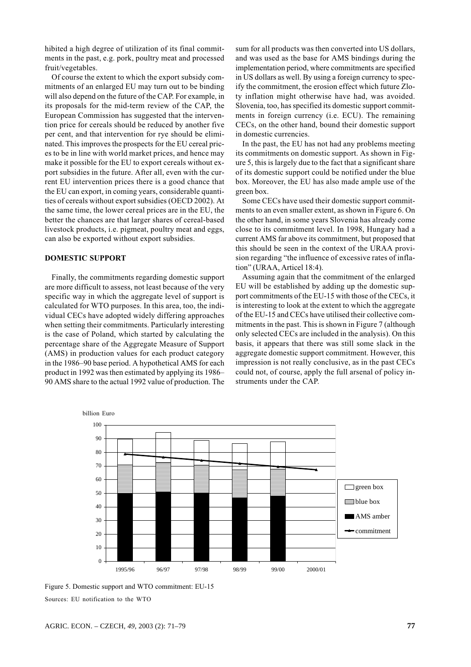hibited a high degree of utilization of its final commitments in the past, e.g. pork, poultry meat and processed fruit/vegetables.

Of course the extent to which the export subsidy commitments of an enlarged EU may turn out to be binding will also depend on the future of the CAP. For example, in its proposals for the mid-term review of the CAP, the European Commission has suggested that the intervention price for cereals should be reduced by another five per cent, and that intervention for rye should be eliminated. This improves the prospects for the EU cereal prices to be in line with world market prices, and hence may make it possible for the EU to export cereals without export subsidies in the future. After all, even with the current EU intervention prices there is a good chance that the EU can export, in coming years, considerable quantities of cereals without export subsidies (OECD 2002). At the same time, the lower cereal prices are in the EU, the better the chances are that larger shares of cereal-based livestock products, i.e. pigmeat, poultry meat and eggs, can also be exported without export subsidies.

### **DOMESTIC SUPPORT**

Finally, the commitments regarding domestic support are more difficult to assess, not least because of the very specific way in which the aggregate level of support is calculated for WTO purposes. In this area, too, the individual CECs have adopted widely differing approaches when setting their commitments. Particularly interesting is the case of Poland, which started by calculating the percentage share of the Aggregate Measure of Support (AMS) in production values for each product category in the 1986-90 base period. A hypothetical AMS for each product in 1992 was then estimated by applying its 1986– 90 AMS share to the actual 1992 value of production. The sum for all products was then converted into US dollars, and was used as the base for AMS bindings during the implementation period, where commitments are specified in US dollars as well. By using a foreign currency to specify the commitment, the erosion effect which future Zloty inflation might otherwise have had, was avoided. Slovenia, too, has specified its domestic support commitments in foreign currency (i.e. ECU). The remaining CECs, on the other hand, bound their domestic support in domestic currencies.

In the past, the EU has not had any problems meeting its commitments on domestic support. As shown in Figure 5, this is largely due to the fact that a significant share of its domestic support could be notified under the blue box. Moreover, the EU has also made ample use of the green box.

Some CECs have used their domestic support commitments to an even smaller extent, as shown in Figure 6. On the other hand, in some years Slovenia has already come close to its commitment level. In 1998, Hungary had a current AMS far above its commitment, but proposed that this should be seen in the context of the URAA provision regarding "the influence of excessive rates of inflation" (URAA, Articel 18:4).

Assuming again that the commitment of the enlarged EU will be established by adding up the domestic support commitments of the EU-15 with those of the CECs, it is interesting to look at the extent to which the aggregate of the EU-15 and CECs have utilised their collective commitments in the past. This is shown in Figure 7 (although only selected CECs are included in the analysis). On this basis, it appears that there was still some slack in the aggregate domestic support commitment. However, this impression is not really conclusive, as in the past CECs could not, of course, apply the full arsenal of policy instruments under the CAP.



Figure 5. Domestic support and WTO commitment: EU-15 Sources: EU notification to the WTO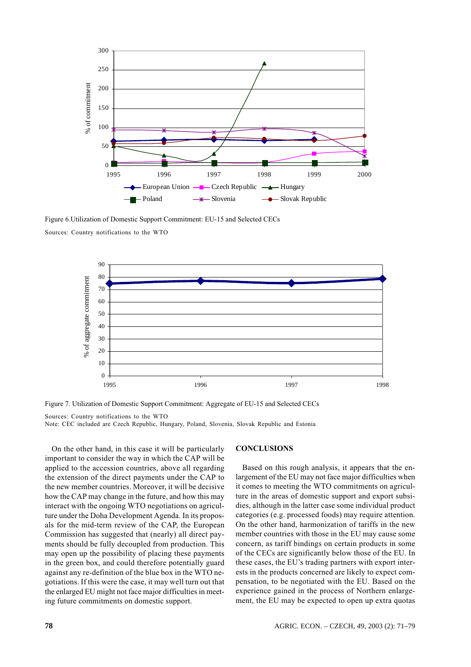

Figure 6. Utilization of Domestic Support Commitment: EU-15 and Selected CECs

Sources: Country notifications to the WTO



Figure 7. Utilization of Domestic Support Commitment: Aggregate of EU-15 and Selected CECs

Sources: Country notifications to the WTO

Note: CEC included are Czech Republic, Hungary, Poland, Slovenia, Slovak Republic and Estonia

On the other hand, in this case it will be particularly important to consider the way in which the CAP will be applied to the accession countries, above all regarding the extension of the direct payments under the CAP to the new member countries. Moreover, it will be decisive how the CAP may change in the future, and how this may interact with the ongoing WTO negotiations on agriculture under the Doha Development Agenda. In its proposals for the mid-term review of the CAP, the European Commission has suggested that (nearly) all direct payments should be fully decoupled from production. This may open up the possibility of placing these payments in the green box, and could therefore potentially guard against any re-definition of the blue box in the WTO negotiations. If this were the case, it may well turn out that the enlarged EU might not face major difficulties in meeting future commitments on domestic support.

#### **CONCLUSIONS**

Based on this rough analysis, it appears that the enlargement of the EU may not face major difficulties when it comes to meeting the WTO commitments on agriculture in the areas of domestic support and export subsidies, although in the latter case some individual product categories (e.g. processed foods) may require attention. On the other hand, harmonization of tariffs in the new member countries with those in the EU may cause some concern, as tariff bindings on certain products in some of the CECs are significantly below those of the EU. In these cases, the EU's trading partners with export interests in the products concerned are likely to expect compensation, to be negotiated with the EU. Based on the experience gained in the process of Northern enlargement, the EU may be expected to open up extra quotas